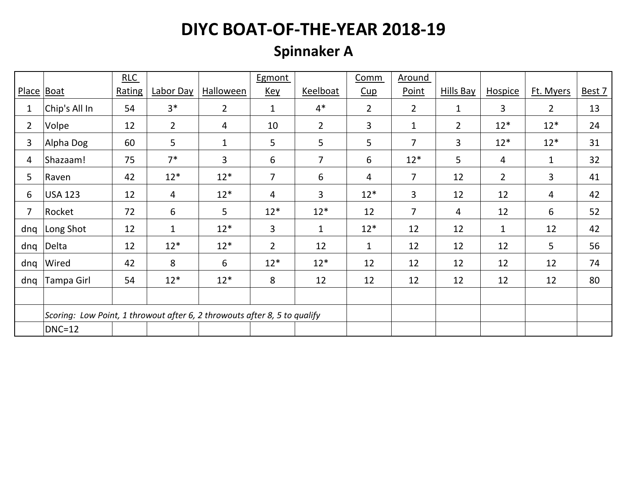# **Spinnaker A**

|                |                                                                           | RLC    |                |                  | Egmont         |                | Comm           | Around         |              |                |                |        |
|----------------|---------------------------------------------------------------------------|--------|----------------|------------------|----------------|----------------|----------------|----------------|--------------|----------------|----------------|--------|
| Place Boat     |                                                                           | Rating | Labor Day      | <b>Halloween</b> | <b>Key</b>     | Keelboat       | Cup            | Point          | Hills Bay    | <b>Hospice</b> | Ft. Myers      | Best 7 |
| 1              | Chip's All In                                                             | 54     | $3*$           | $\overline{2}$   | $\mathbf{1}$   | $4*$           | $\overline{2}$ | $\overline{2}$ | $\mathbf{1}$ | 3              | $\overline{2}$ | 13     |
| $\overline{2}$ | Volpe                                                                     | 12     | $2^{\circ}$    | 4                | 10             | $\overline{2}$ | 3              | $\mathbf{1}$   | $2^{\circ}$  | $12*$          | $12*$          | 24     |
| 3              | Alpha Dog                                                                 | 60     | 5              | $\mathbf{1}$     | 5              | 5              | 5              | $\overline{7}$ | 3            | $12*$          | $12*$          | 31     |
| 4              | Shazaam!                                                                  | 75     | $7*$           | 3                | 6              | $\overline{7}$ | 6              | $12*$          | 5            | 4              | $\mathbf{1}$   | 32     |
| 5              | Raven                                                                     | 42     | $12*$          | $12*$            | $\overline{7}$ | 6              | $\overline{4}$ | 7              | 12           | $2^{\circ}$    | $\overline{3}$ | 41     |
| 6              | <b>USA 123</b>                                                            | 12     | $\overline{4}$ | $12*$            | 4              | $\overline{3}$ | $12*$          | 3              | 12           | 12             | 4              | 42     |
| 7              | Rocket                                                                    | 72     | 6              | 5                | $12*$          | $12*$          | 12             | 7              | 4            | 12             | 6              | 52     |
| dnq            | Long Shot                                                                 | 12     | $\mathbf{1}$   | $12*$            | $\overline{3}$ | $\mathbf{1}$   | $12*$          | 12             | 12           | $\mathbf{1}$   | 12             | 42     |
| dnq            | Delta                                                                     | 12     | $12*$          | $12*$            | $\overline{2}$ | 12             | $\mathbf{1}$   | 12             | 12           | 12             | 5              | 56     |
| dnq            | Wired                                                                     | 42     | 8              | 6                | $12*$          | $12*$          | 12             | 12             | 12           | 12             | 12             | 74     |
| dnq            | Tampa Girl                                                                | 54     | $12*$          | $12*$            | 8              | 12             | 12             | 12             | 12           | 12             | 12             | 80     |
|                |                                                                           |        |                |                  |                |                |                |                |              |                |                |        |
|                | Scoring: Low Point, 1 throwout after 6, 2 throwouts after 8, 5 to qualify |        |                |                  |                |                |                |                |              |                |                |        |
|                | <b>DNC=12</b>                                                             |        |                |                  |                |                |                |                |              |                |                |        |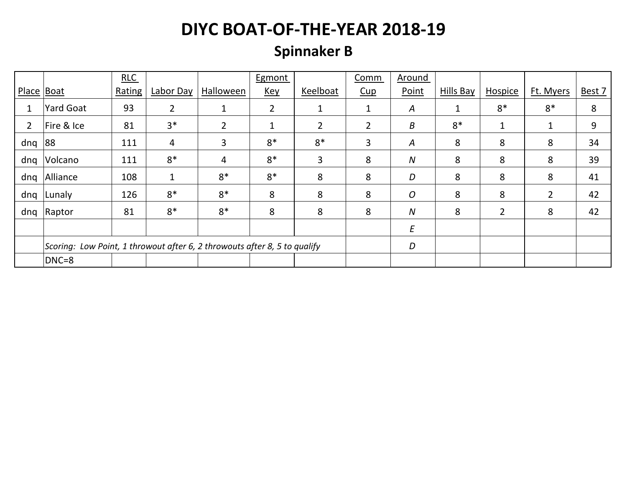# **Spinnaker B**

|                |                                                                           | RLC    |                |                | Egmont         |                | Comm           | Around           |           |                |           |        |
|----------------|---------------------------------------------------------------------------|--------|----------------|----------------|----------------|----------------|----------------|------------------|-----------|----------------|-----------|--------|
| Place $ $ Boat |                                                                           | Rating | Labor Day      | Halloween      | <u>Key</u>     | Keelboat       | Cup            | Point            | Hills Bay | Hospice        | Ft. Myers | Best 7 |
|                | Yard Goat                                                                 | 93     | $\overline{2}$ | $\mathbf{1}$   | $\overline{2}$ | 1              | $\mathbf{1}$   | $\boldsymbol{A}$ | 1         | $8*$           | $8*$      | 8      |
| $\overline{2}$ | Fire & Ice                                                                | 81     | $3*$           | $\overline{2}$ | 1              | $\overline{2}$ | $\overline{2}$ | B                | $8*$      | $\mathbf{1}$   | 1         | 9      |
| dnq            | 88                                                                        | 111    | 4              | 3              | $8*$           | $8*$           | 3              | $\boldsymbol{A}$ | 8         | 8              | 8         | 34     |
| dnq            | Volcano                                                                   | 111    | $8*$           | 4              | $8*$           | 3              | 8              | $\boldsymbol{N}$ | 8         | 8              | 8         | 39     |
| dnq            | Alliance                                                                  | 108    | $\mathbf 1$    | $8*$           | $8*$           | 8              | 8              | D                | 8         | 8              | 8         | 41     |
| dnq            | Lunaly                                                                    | 126    | $8*$           | $8*$           | 8              | 8              | 8              | $\overline{O}$   | 8         | 8              | 2         | 42     |
| dnq            | Raptor                                                                    | 81     | $8*$           | $8*$           | 8              | 8              | 8              | $\boldsymbol{N}$ | 8         | $\overline{2}$ | 8         | 42     |
|                |                                                                           |        |                |                |                |                |                | E                |           |                |           |        |
|                | Scoring: Low Point, 1 throwout after 6, 2 throwouts after 8, 5 to qualify |        |                |                |                | D              |                |                  |           |                |           |        |
|                | DNC=8                                                                     |        |                |                |                |                |                |                  |           |                |           |        |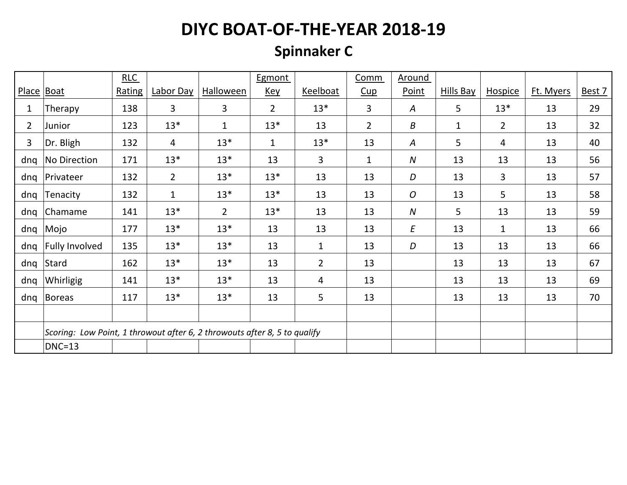# **Spinnaker C**

|                |                                                                           | RLC           |              |                | Egmont         |                | Comm           | <b>Around</b>    |                  |                |           |        |
|----------------|---------------------------------------------------------------------------|---------------|--------------|----------------|----------------|----------------|----------------|------------------|------------------|----------------|-----------|--------|
| Place Boat     |                                                                           | <b>Rating</b> | Labor Day    | Halloween      | <u>Key</u>     | Keelboat       | $cup$          | Point            | <b>Hills Bay</b> | <b>Hospice</b> | Ft. Myers | Best 7 |
| 1              | Therapy                                                                   | 138           | 3            | 3              | $\overline{2}$ | $13*$          | 3              | $\boldsymbol{A}$ | 5                | $13*$          | 13        | 29     |
| $\overline{2}$ | Junior                                                                    | 123           | $13*$        | $\mathbf{1}$   | $13*$          | 13             | $\overline{2}$ | Β                | $\mathbf{1}$     | $\overline{2}$ | 13        | 32     |
| 3              | Dr. Bligh                                                                 | 132           | 4            | $13*$          | $\mathbf{1}$   | $13*$          | 13             | A                | 5                | 4              | 13        | 40     |
| dnq            | No Direction                                                              | 171           | $13*$        | $13*$          | 13             | 3              | $\mathbf{1}$   | ${\cal N}$       | 13               | 13             | 13        | 56     |
| dnq            | Privateer                                                                 | 132           | $2^{\circ}$  | $13*$          | $13*$          | 13             | 13             | D                | 13               | $\overline{3}$ | 13        | 57     |
| dnq            | Tenacity                                                                  | 132           | $\mathbf{1}$ | $13*$          | $13*$          | 13             | 13             | O                | 13               | 5              | 13        | 58     |
| dnq            | Chamame                                                                   | 141           | $13*$        | $\overline{2}$ | $13*$          | 13             | 13             | N                | 5                | 13             | 13        | 59     |
| dnq            | Mojo                                                                      | 177           | $13*$        | $13*$          | 13             | 13             | 13             | E                | 13               | $\mathbf{1}$   | 13        | 66     |
| dnq            | <b>Fully Involved</b>                                                     | 135           | $13*$        | $13*$          | 13             | $\mathbf{1}$   | 13             | D                | 13               | 13             | 13        | 66     |
| dnq            | Stard                                                                     | 162           | $13*$        | $13*$          | 13             | $\overline{2}$ | 13             |                  | 13               | 13             | 13        | 67     |
| dnq            | Whirligig                                                                 | 141           | $13*$        | $13*$          | 13             | 4              | 13             |                  | 13               | 13             | 13        | 69     |
| dnq            | Boreas                                                                    | 117           | $13*$        | $13*$          | 13             | 5              | 13             |                  | 13               | 13             | 13        | 70     |
|                |                                                                           |               |              |                |                |                |                |                  |                  |                |           |        |
|                | Scoring: Low Point, 1 throwout after 6, 2 throwouts after 8, 5 to qualify |               |              |                |                |                |                |                  |                  |                |           |        |
|                | $DNC=13$                                                                  |               |              |                |                |                |                |                  |                  |                |           |        |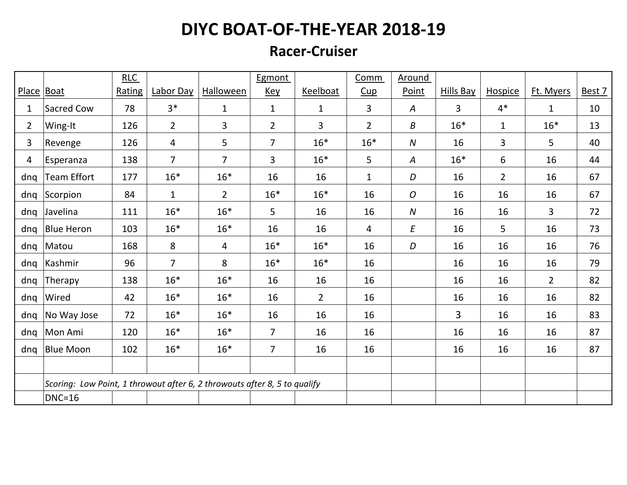#### **Racer-Cruiser**

|                |                                                                           | RLC    |                |                  | Egmont         |                | <b>Comm</b>    | <b>Around</b>    |                  |                |                |        |
|----------------|---------------------------------------------------------------------------|--------|----------------|------------------|----------------|----------------|----------------|------------------|------------------|----------------|----------------|--------|
|                | Place Boat                                                                | Rating | Labor Day      | <b>Halloween</b> | <u>Key</u>     | Keelboat       | Cup            | Point            | <b>Hills Bay</b> | <b>Hospice</b> | Ft. Myers      | Best 7 |
| 1              | Sacred Cow                                                                | 78     | $3*$           | $\mathbf{1}$     | $\mathbf{1}$   | $\mathbf{1}$   | 3              | A                | $\overline{3}$   | $4*$           | $\mathbf{1}$   | 10     |
| $\overline{2}$ | Wing-It                                                                   | 126    | $\overline{2}$ | 3                | $\overline{2}$ | 3              | $\overline{2}$ | B                | $16*$            | $\mathbf{1}$   | $16*$          | 13     |
| 3              | Revenge                                                                   | 126    | 4              | 5                | $\overline{7}$ | $16*$          | $16*$          | $\boldsymbol{N}$ | 16               | $\overline{3}$ | 5              | 40     |
| $\overline{4}$ | Esperanza                                                                 | 138    | $\overline{7}$ | $\overline{7}$   | 3              | $16*$          | 5              | A                | $16*$            | 6              | 16             | 44     |
| dnq            | Team Effort                                                               | 177    | $16*$          | $16*$            | 16             | 16             | $\mathbf{1}$   | D                | 16               | $\overline{2}$ | 16             | 67     |
| dnq            | Scorpion                                                                  | 84     | $\mathbf{1}$   | $\overline{2}$   | $16*$          | $16*$          | 16             | O                | 16               | 16             | 16             | 67     |
| dnq            | Javelina                                                                  | 111    | $16*$          | $16*$            | 5              | 16             | 16             | ${\cal N}$       | 16               | 16             | $\overline{3}$ | 72     |
| dnq            | Blue Heron                                                                | 103    | $16*$          | $16*$            | 16             | 16             | $\overline{4}$ | E                | 16               | 5              | 16             | 73     |
| dnq            | Matou                                                                     | 168    | 8              | 4                | $16*$          | $16*$          | 16             | D                | 16               | 16             | 16             | 76     |
| dnq            | Kashmir                                                                   | 96     | $\overline{7}$ | 8                | $16*$          | $16*$          | 16             |                  | 16               | 16             | 16             | 79     |
| dnq            | Therapy                                                                   | 138    | $16*$          | $16*$            | 16             | 16             | 16             |                  | 16               | 16             | $\overline{2}$ | 82     |
| dnq            | Wired                                                                     | 42     | $16*$          | $16*$            | 16             | $\overline{2}$ | 16             |                  | 16               | 16             | 16             | 82     |
| dnq            | No Way Jose                                                               | 72     | $16*$          | $16*$            | 16             | 16             | 16             |                  | 3                | 16             | 16             | 83     |
| dnq            | Mon Ami                                                                   | 120    | $16*$          | $16*$            | $\overline{7}$ | 16             | 16             |                  | 16               | 16             | 16             | 87     |
| dnq            | <b>Blue Moon</b>                                                          | 102    | $16*$          | $16*$            | $\overline{7}$ | 16             | 16             |                  | 16               | 16             | 16             | 87     |
|                |                                                                           |        |                |                  |                |                |                |                  |                  |                |                |        |
|                | Scoring: Low Point, 1 throwout after 6, 2 throwouts after 8, 5 to qualify |        |                |                  |                |                |                |                  |                  |                |                |        |
|                | $DNC=16$                                                                  |        |                |                  |                |                |                |                  |                  |                |                |        |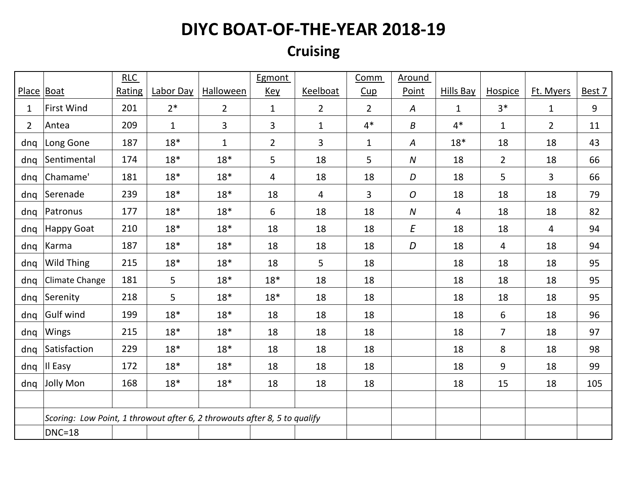#### **Cruising**

|                |                                                                           | RLC    |              |                  | Egmont         |                | Comm           | Around           |              |                |                |        |
|----------------|---------------------------------------------------------------------------|--------|--------------|------------------|----------------|----------------|----------------|------------------|--------------|----------------|----------------|--------|
| Place Boat     |                                                                           | Rating | Labor Day    | <b>Halloween</b> | <u>Key</u>     | Keelboat       | Cup            | Point            | Hills Bay    | Hospice        | Ft. Myers      | Best 7 |
| $\mathbf{1}$   | First Wind                                                                | 201    | $2*$         | $\overline{2}$   | $\mathbf{1}$   | $\overline{2}$ | $\overline{2}$ | $\boldsymbol{A}$ | $\mathbf{1}$ | $3*$           | $\mathbf{1}$   | 9      |
| $\overline{2}$ | Antea                                                                     | 209    | $\mathbf{1}$ | 3                | 3              | $\mathbf{1}$   | $4*$           | Β                | $4*$         | $\mathbf{1}$   | $\overline{2}$ | 11     |
| dnq            | Long Gone                                                                 | 187    | $18*$        | $\mathbf{1}$     | $\overline{2}$ | 3              | $\mathbf{1}$   | Α                | $18*$        | 18             | 18             | 43     |
| dnq            | Sentimental                                                               | 174    | $18*$        | $18*$            | 5              | 18             | 5              | $\boldsymbol{N}$ | 18           | $2^{\circ}$    | 18             | 66     |
| dnq            | Chamame'                                                                  | 181    | $18*$        | $18*$            | 4              | 18             | 18             | D                | 18           | 5              | $\overline{3}$ | 66     |
| dnq            | Serenade                                                                  | 239    | $18*$        | $18*$            | 18             | 4              | 3              | O                | 18           | 18             | 18             | 79     |
| dnq            | Patronus                                                                  | 177    | $18*$        | $18*$            | 6              | 18             | 18             | $\boldsymbol{N}$ | 4            | 18             | 18             | 82     |
| dnq            | Happy Goat                                                                | 210    | $18*$        | $18*$            | 18             | 18             | 18             | E                | 18           | 18             | $\overline{4}$ | 94     |
| dnq            | Karma                                                                     | 187    | $18*$        | $18*$            | 18             | 18             | 18             | D                | 18           | $\overline{4}$ | 18             | 94     |
| dnq            | <b>Wild Thing</b>                                                         | 215    | $18*$        | $18*$            | 18             | 5              | 18             |                  | 18           | 18             | 18             | 95     |
| dnq            | Climate Change                                                            | 181    | 5            | $18*$            | $18*$          | 18             | 18             |                  | 18           | 18             | 18             | 95     |
| dnq            | Serenity                                                                  | 218    | 5            | $18*$            | $18*$          | 18             | 18             |                  | 18           | 18             | 18             | 95     |
| dnq            | Gulf wind                                                                 | 199    | $18*$        | $18*$            | 18             | 18             | 18             |                  | 18           | 6              | 18             | 96     |
| dnq            | Wings                                                                     | 215    | $18*$        | $18*$            | 18             | 18             | 18             |                  | 18           | $\overline{7}$ | 18             | 97     |
| dnq            | Satisfaction                                                              | 229    | $18*$        | $18*$            | 18             | 18             | 18             |                  | 18           | 8              | 18             | 98     |
| dnq            | II Easy                                                                   | 172    | $18*$        | $18*$            | 18             | 18             | 18             |                  | 18           | 9              | 18             | 99     |
| dnq            | Jolly Mon                                                                 | 168    | $18*$        | $18*$            | 18             | 18             | 18             |                  | 18           | 15             | 18             | 105    |
|                |                                                                           |        |              |                  |                |                |                |                  |              |                |                |        |
|                | Scoring: Low Point, 1 throwout after 6, 2 throwouts after 8, 5 to qualify |        |              |                  |                |                |                |                  |              |                |                |        |
|                | $DNC=18$                                                                  |        |              |                  |                |                |                |                  |              |                |                |        |